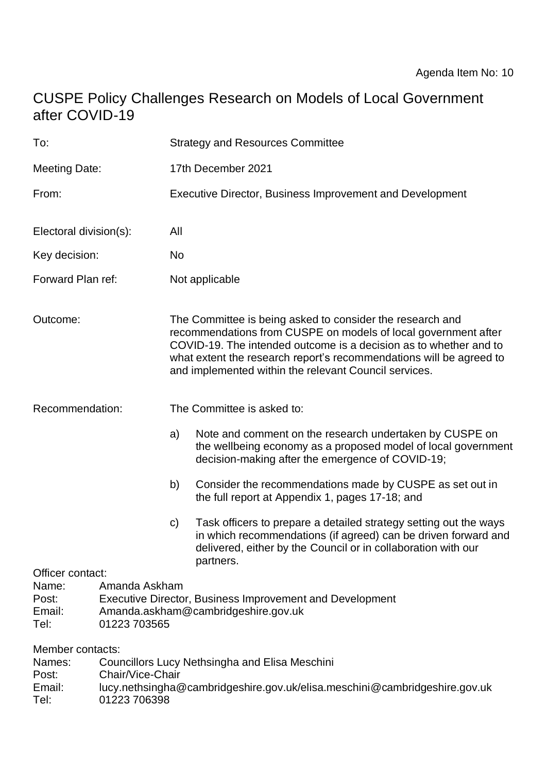# CUSPE Policy Challenges Research on Models of Local Government after COVID-19

| To:                                                                                                                                                                                      |                                  | <b>Strategy and Resources Committee</b>                                                                                                                                                                                                                                                                                          |                                                                                                                                                                                                                   |
|------------------------------------------------------------------------------------------------------------------------------------------------------------------------------------------|----------------------------------|----------------------------------------------------------------------------------------------------------------------------------------------------------------------------------------------------------------------------------------------------------------------------------------------------------------------------------|-------------------------------------------------------------------------------------------------------------------------------------------------------------------------------------------------------------------|
| <b>Meeting Date:</b>                                                                                                                                                                     |                                  | 17th December 2021                                                                                                                                                                                                                                                                                                               |                                                                                                                                                                                                                   |
| From:                                                                                                                                                                                    |                                  | Executive Director, Business Improvement and Development                                                                                                                                                                                                                                                                         |                                                                                                                                                                                                                   |
| Electoral division(s):                                                                                                                                                                   |                                  | All                                                                                                                                                                                                                                                                                                                              |                                                                                                                                                                                                                   |
| Key decision:                                                                                                                                                                            |                                  | No                                                                                                                                                                                                                                                                                                                               |                                                                                                                                                                                                                   |
| Forward Plan ref:                                                                                                                                                                        |                                  | Not applicable                                                                                                                                                                                                                                                                                                                   |                                                                                                                                                                                                                   |
| Outcome:                                                                                                                                                                                 |                                  | The Committee is being asked to consider the research and<br>recommendations from CUSPE on models of local government after<br>COVID-19. The intended outcome is a decision as to whether and to<br>what extent the research report's recommendations will be agreed to<br>and implemented within the relevant Council services. |                                                                                                                                                                                                                   |
| Recommendation:                                                                                                                                                                          |                                  | The Committee is asked to:                                                                                                                                                                                                                                                                                                       |                                                                                                                                                                                                                   |
|                                                                                                                                                                                          |                                  | a)                                                                                                                                                                                                                                                                                                                               | Note and comment on the research undertaken by CUSPE on<br>the wellbeing economy as a proposed model of local government<br>decision-making after the emergence of COVID-19;                                      |
|                                                                                                                                                                                          |                                  | b)                                                                                                                                                                                                                                                                                                                               | Consider the recommendations made by CUSPE as set out in<br>the full report at Appendix 1, pages 17-18; and                                                                                                       |
|                                                                                                                                                                                          |                                  | $\mathsf{C}$                                                                                                                                                                                                                                                                                                                     | Task officers to prepare a detailed strategy setting out the ways<br>in which recommendations (if agreed) can be driven forward and<br>delivered, either by the Council or in collaboration with our<br>partners. |
| Officer contact:<br>Amanda Askham<br>Name:<br>Executive Director, Business Improvement and Development<br>Post:<br>Email:<br>Amanda.askham@cambridgeshire.gov.uk<br>Tel:<br>01223 703565 |                                  |                                                                                                                                                                                                                                                                                                                                  |                                                                                                                                                                                                                   |
| Member contacts:<br>Names:<br>Post:<br>Email:<br>Tel:                                                                                                                                    | Chair/Vice-Chair<br>01223 706398 |                                                                                                                                                                                                                                                                                                                                  | <b>Councillors Lucy Nethsingha and Elisa Meschini</b><br>lucy.nethsingha@cambridgeshire.gov.uk/elisa.meschini@cambridgeshire.gov.uk                                                                               |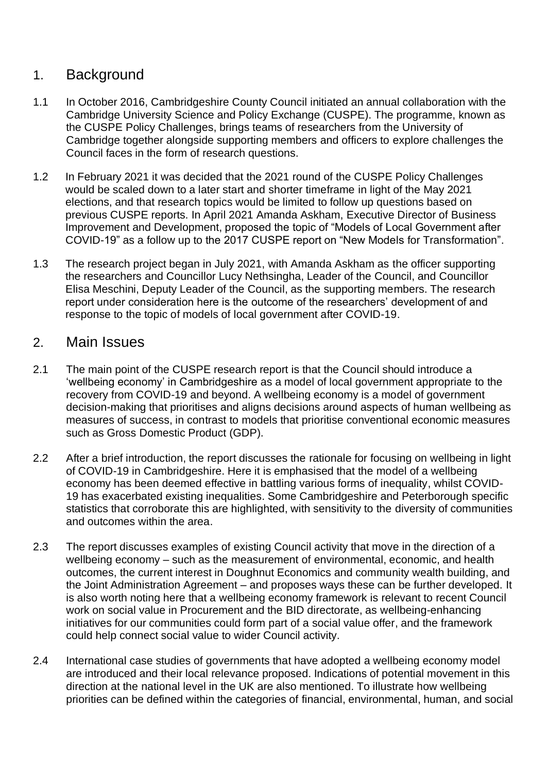## 1. Background

- 1.1 In October 2016, Cambridgeshire County Council initiated an annual collaboration with the Cambridge University Science and Policy Exchange (CUSPE). The programme, known as the CUSPE Policy Challenges, brings teams of researchers from the University of Cambridge together alongside supporting members and officers to explore challenges the Council faces in the form of research questions.
- 1.2 In February 2021 it was decided that the 2021 round of the CUSPE Policy Challenges would be scaled down to a later start and shorter timeframe in light of the May 2021 elections, and that research topics would be limited to follow up questions based on previous CUSPE reports. In April 2021 Amanda Askham, Executive Director of Business Improvement and Development, proposed the topic of "Models of Local Government after COVID-19" as a follow up to the 2017 CUSPE report on "New Models for Transformation".
- 1.3 The research project began in July 2021, with Amanda Askham as the officer supporting the researchers and Councillor Lucy Nethsingha, Leader of the Council, and Councillor Elisa Meschini, Deputy Leader of the Council, as the supporting members. The research report under consideration here is the outcome of the researchers' development of and response to the topic of models of local government after COVID-19.

#### 2. Main Issues

- 2.1 The main point of the CUSPE research report is that the Council should introduce a 'wellbeing economy' in Cambridgeshire as a model of local government appropriate to the recovery from COVID-19 and beyond. A wellbeing economy is a model of government decision-making that prioritises and aligns decisions around aspects of human wellbeing as measures of success, in contrast to models that prioritise conventional economic measures such as Gross Domestic Product (GDP).
- 2.2 After a brief introduction, the report discusses the rationale for focusing on wellbeing in light of COVID-19 in Cambridgeshire. Here it is emphasised that the model of a wellbeing economy has been deemed effective in battling various forms of inequality, whilst COVID-19 has exacerbated existing inequalities. Some Cambridgeshire and Peterborough specific statistics that corroborate this are highlighted, with sensitivity to the diversity of communities and outcomes within the area.
- 2.3 The report discusses examples of existing Council activity that move in the direction of a wellbeing economy – such as the measurement of environmental, economic, and health outcomes, the current interest in Doughnut Economics and community wealth building, and the Joint Administration Agreement – and proposes ways these can be further developed. It is also worth noting here that a wellbeing economy framework is relevant to recent Council work on social value in Procurement and the BID directorate, as wellbeing-enhancing initiatives for our communities could form part of a social value offer, and the framework could help connect social value to wider Council activity.
- 2.4 International case studies of governments that have adopted a wellbeing economy model are introduced and their local relevance proposed. Indications of potential movement in this direction at the national level in the UK are also mentioned. To illustrate how wellbeing priorities can be defined within the categories of financial, environmental, human, and social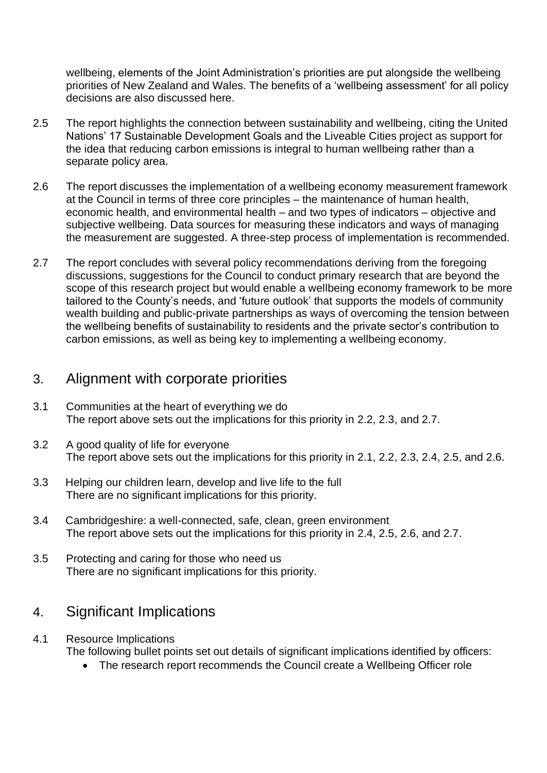wellbeing, elements of the Joint Administration's priorities are put alongside the wellbeing priorities of New Zealand and Wales. The benefits of a 'wellbeing assessment' for all policy decisions are also discussed here.

- 2.5 The report highlights the connection between sustainability and wellbeing, citing the United Nations' 17 Sustainable Development Goals and the Liveable Cities project as support for the idea that reducing carbon emissions is integral to human wellbeing rather than a separate policy area.
- 2.6 The report discusses the implementation of a wellbeing economy measurement framework at the Council in terms of three core principles – the maintenance of human health, economic health, and environmental health – and two types of indicators – objective and subjective wellbeing. Data sources for measuring these indicators and ways of managing the measurement are suggested. A three-step process of implementation is recommended.
- 2.7 The report concludes with several policy recommendations deriving from the foregoing discussions, suggestions for the Council to conduct primary research that are beyond the scope of this research project but would enable a wellbeing economy framework to be more tailored to the County's needs, and 'future outlook' that supports the models of community wealth building and public-private partnerships as ways of overcoming the tension between the wellbeing benefits of sustainability to residents and the private sector's contribution to carbon emissions, as well as being key to implementing a wellbeing economy.

#### 3. Alignment with corporate priorities

- 3.1 Communities at the heart of everything we do The report above sets out the implications for this priority in 2.2, 2.3, and 2.7.
- 3.2 A good quality of life for everyone The report above sets out the implications for this priority in 2.1, 2.2, 2.3, 2.4, 2.5, and 2.6.
- 3.3 Helping our children learn, develop and live life to the full There are no significant implications for this priority.
- 3.4 Cambridgeshire: a well-connected, safe, clean, green environment The report above sets out the implications for this priority in 2.4, 2.5, 2.6, and 2.7.
- 3.5 Protecting and caring for those who need us There are no significant implications for this priority.

#### 4. Significant Implications

- 4.1 Resource Implications The following bullet points set out details of significant implications identified by officers:
	- The research report recommends the Council create a Wellbeing Officer role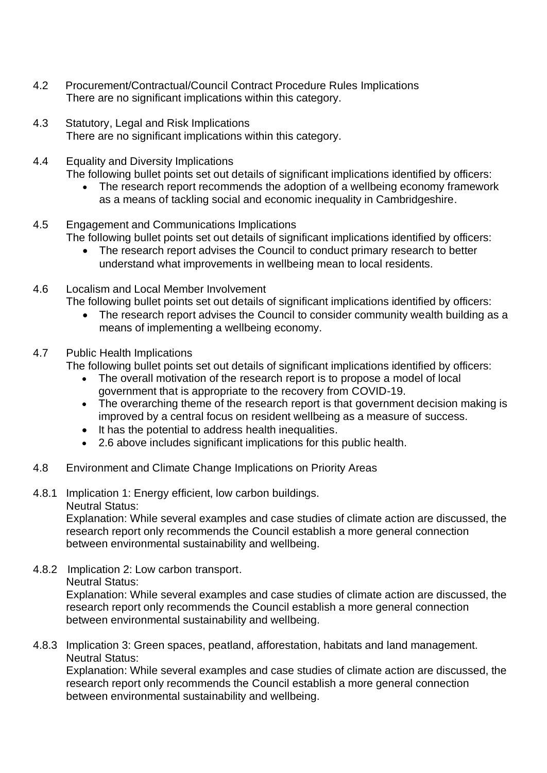- 4.2 Procurement/Contractual/Council Contract Procedure Rules Implications There are no significant implications within this category.
- 4.3 Statutory, Legal and Risk Implications There are no significant implications within this category.
- 4.4 Equality and Diversity Implications
	- The following bullet points set out details of significant implications identified by officers:
		- The research report recommends the adoption of a wellbeing economy framework as a means of tackling social and economic inequality in Cambridgeshire.
- 4.5 Engagement and Communications Implications The following bullet points set out details of significant implications identified by officers:
	- The research report advises the Council to conduct primary research to better understand what improvements in wellbeing mean to local residents.
- 4.6 Localism and Local Member Involvement
	- The following bullet points set out details of significant implications identified by officers:
		- The research report advises the Council to consider community wealth building as a means of implementing a wellbeing economy.
- 4.7 Public Health Implications

The following bullet points set out details of significant implications identified by officers:

- The overall motivation of the research report is to propose a model of local government that is appropriate to the recovery from COVID-19.
- The overarching theme of the research report is that government decision making is improved by a central focus on resident wellbeing as a measure of success.
- It has the potential to address health inequalities.
- 2.6 above includes significant implications for this public health.
- 4.8 Environment and Climate Change Implications on Priority Areas
- 4.8.1 Implication 1: Energy efficient, low carbon buildings. Neutral Status:

Explanation: While several examples and case studies of climate action are discussed, the research report only recommends the Council establish a more general connection between environmental sustainability and wellbeing.

4.8.2 Implication 2: Low carbon transport. Neutral Status:

> Explanation: While several examples and case studies of climate action are discussed, the research report only recommends the Council establish a more general connection between environmental sustainability and wellbeing.

4.8.3 Implication 3: Green spaces, peatland, afforestation, habitats and land management. Neutral Status:

Explanation: While several examples and case studies of climate action are discussed, the research report only recommends the Council establish a more general connection between environmental sustainability and wellbeing.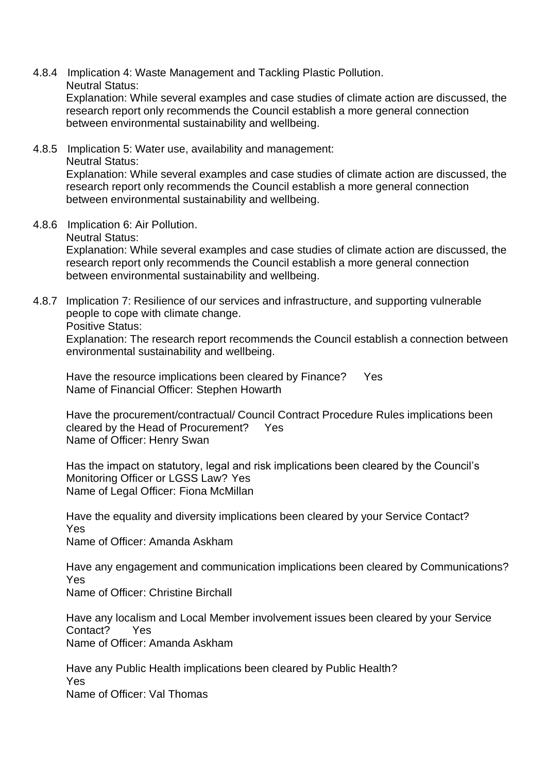4.8.4 Implication 4: Waste Management and Tackling Plastic Pollution. Neutral Status:

Explanation: While several examples and case studies of climate action are discussed, the research report only recommends the Council establish a more general connection between environmental sustainability and wellbeing.

4.8.5 Implication 5: Water use, availability and management: Neutral Status:

Explanation: While several examples and case studies of climate action are discussed, the research report only recommends the Council establish a more general connection between environmental sustainability and wellbeing.

4.8.6 Implication 6: Air Pollution.

Neutral Status:

Explanation: While several examples and case studies of climate action are discussed, the research report only recommends the Council establish a more general connection between environmental sustainability and wellbeing.

4.8.7 Implication 7: Resilience of our services and infrastructure, and supporting vulnerable people to cope with climate change.

Positive Status:

Explanation: The research report recommends the Council establish a connection between environmental sustainability and wellbeing.

Have the resource implications been cleared by Finance? Yes Name of Financial Officer: Stephen Howarth

Have the procurement/contractual/ Council Contract Procedure Rules implications been cleared by the Head of Procurement? Yes Name of Officer: Henry Swan

Has the impact on statutory, legal and risk implications been cleared by the Council's Monitoring Officer or LGSS Law? Yes Name of Legal Officer: Fiona McMillan

Have the equality and diversity implications been cleared by your Service Contact? Yes

Name of Officer: Amanda Askham

Have any engagement and communication implications been cleared by Communications? Yes

Name of Officer: Christine Birchall

Have any localism and Local Member involvement issues been cleared by your Service Contact? Yes Name of Officer: Amanda Askham

Have any Public Health implications been cleared by Public Health? Yes Name of Officer: Val Thomas